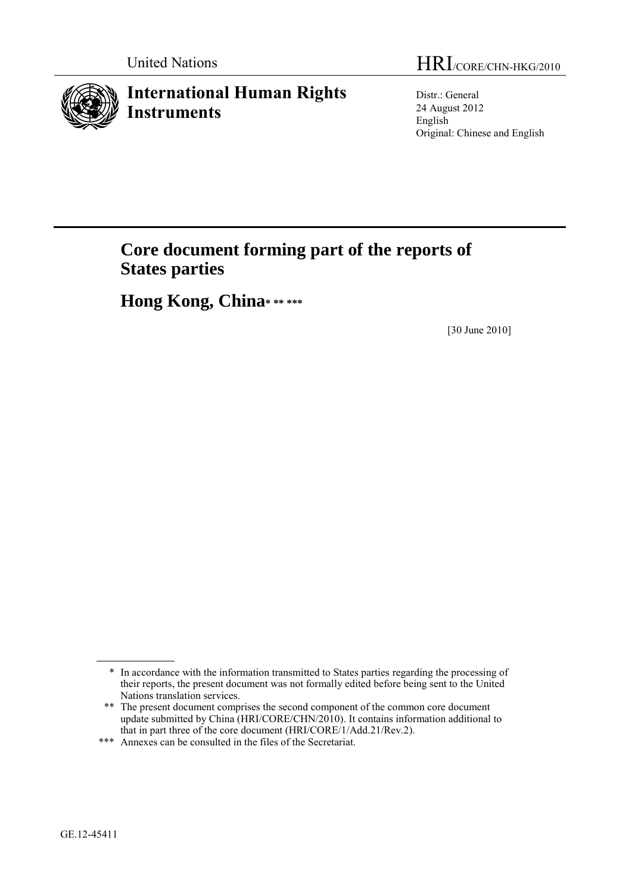

Distr.: General 24 August 2012 English Original: Chinese and English

# **Core document forming part of the reports of States parties**

**Hong Kong, China\* \*\* \*\*\***

[30 June 2010]

<sup>\*</sup> In accordance with the information transmitted to States parties regarding the processing of their reports, the present document was not formally edited before being sent to the United Nations translation services.

<sup>\*\*</sup> The present document comprises the second component of the common core document update submitted by China (HRI/CORE/CHN/2010). It contains information additional to that in part three of the core document (HRI/CORE/1/Add.21/Rev.2).

<sup>\*\*\*</sup> Annexes can be consulted in the files of the Secretariat.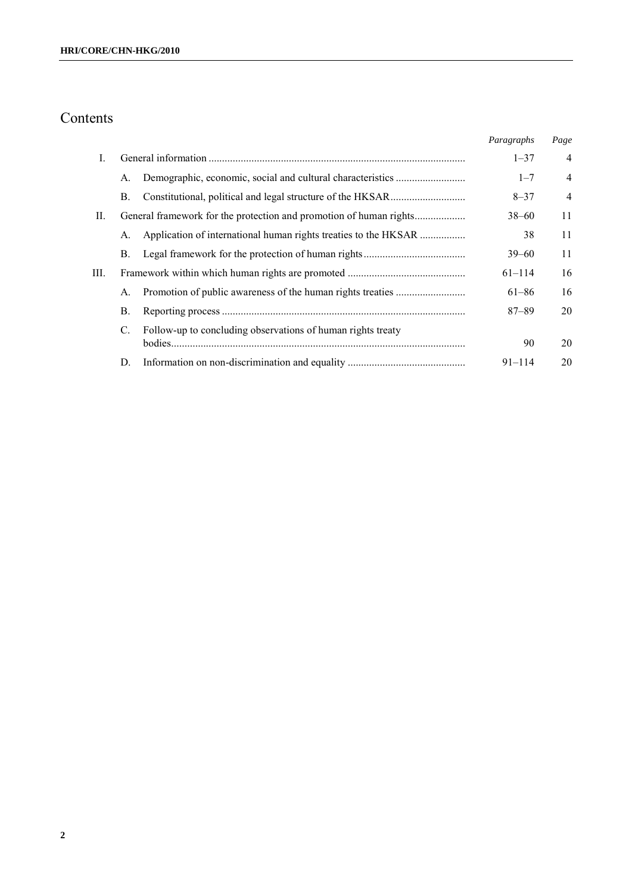# Contents

|      |    |                                                             | Paragraphs | Page           |
|------|----|-------------------------------------------------------------|------------|----------------|
| I.   |    |                                                             | $1 - 37$   | $\overline{4}$ |
|      | A. |                                                             | $1 - 7$    | $\overline{4}$ |
|      | В. |                                                             | $8 - 37$   | $\overline{4}$ |
| II.  |    |                                                             | $38 - 60$  | 11             |
|      | A. |                                                             | 38         | 11             |
|      | В. |                                                             | $39 - 60$  | 11             |
| III. |    |                                                             | $61 - 114$ | 16             |
|      | А. |                                                             | $61 - 86$  | 16             |
|      | В. |                                                             | 87–89      | 20             |
|      | C. | Follow-up to concluding observations of human rights treaty |            |                |
|      |    | bodies                                                      | 90         | 20             |
|      | D. |                                                             | $91 - 114$ | 20             |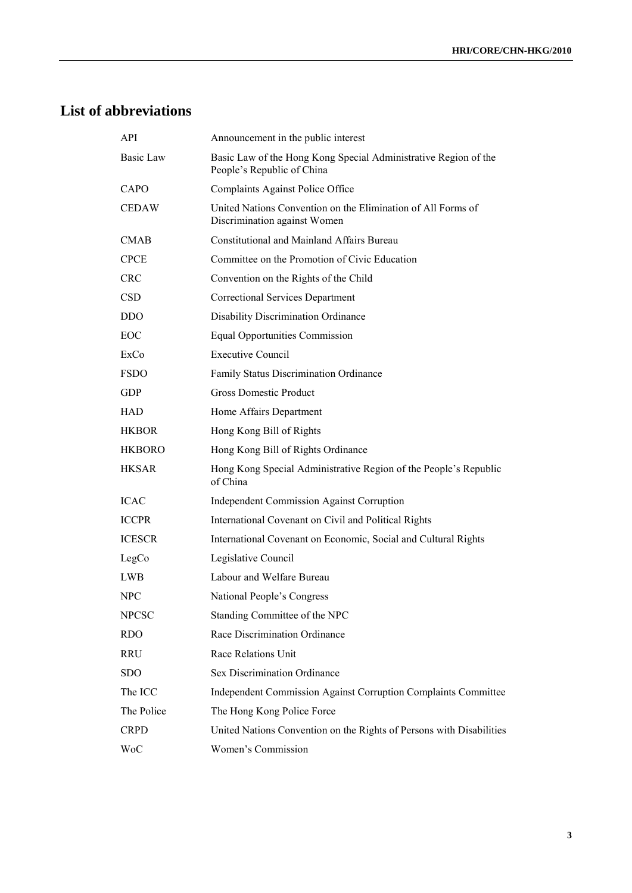# **List of abbreviations**

| <b>API</b>       | Announcement in the public interest                                                           |
|------------------|-----------------------------------------------------------------------------------------------|
| <b>Basic Law</b> | Basic Law of the Hong Kong Special Administrative Region of the<br>People's Republic of China |
| CAPO             | Complaints Against Police Office                                                              |
| <b>CEDAW</b>     | United Nations Convention on the Elimination of All Forms of<br>Discrimination against Women  |
| <b>CMAB</b>      | <b>Constitutional and Mainland Affairs Bureau</b>                                             |
| <b>CPCE</b>      | Committee on the Promotion of Civic Education                                                 |
| <b>CRC</b>       | Convention on the Rights of the Child                                                         |
| <b>CSD</b>       | <b>Correctional Services Department</b>                                                       |
| <b>DDO</b>       | Disability Discrimination Ordinance                                                           |
| EOC              | <b>Equal Opportunities Commission</b>                                                         |
| ExCo             | <b>Executive Council</b>                                                                      |
| <b>FSDO</b>      | Family Status Discrimination Ordinance                                                        |
| <b>GDP</b>       | <b>Gross Domestic Product</b>                                                                 |
| <b>HAD</b>       | Home Affairs Department                                                                       |
| <b>HKBOR</b>     | Hong Kong Bill of Rights                                                                      |
| <b>HKBORO</b>    | Hong Kong Bill of Rights Ordinance                                                            |
| <b>HKSAR</b>     | Hong Kong Special Administrative Region of the People's Republic<br>of China                  |
| <b>ICAC</b>      | <b>Independent Commission Against Corruption</b>                                              |
| <b>ICCPR</b>     | International Covenant on Civil and Political Rights                                          |
| <b>ICESCR</b>    | International Covenant on Economic, Social and Cultural Rights                                |
| LegCo            | Legislative Council                                                                           |
| LWB              | Labour and Welfare Bureau                                                                     |
| <b>NPC</b>       | National People's Congress                                                                    |
| <b>NPCSC</b>     | Standing Committee of the NPC                                                                 |
| <b>RDO</b>       | Race Discrimination Ordinance                                                                 |
| RRU              | Race Relations Unit                                                                           |
| <b>SDO</b>       | Sex Discrimination Ordinance                                                                  |
| The ICC          | Independent Commission Against Corruption Complaints Committee                                |
| The Police       | The Hong Kong Police Force                                                                    |
| <b>CRPD</b>      | United Nations Convention on the Rights of Persons with Disabilities                          |
| WoC              | Women's Commission                                                                            |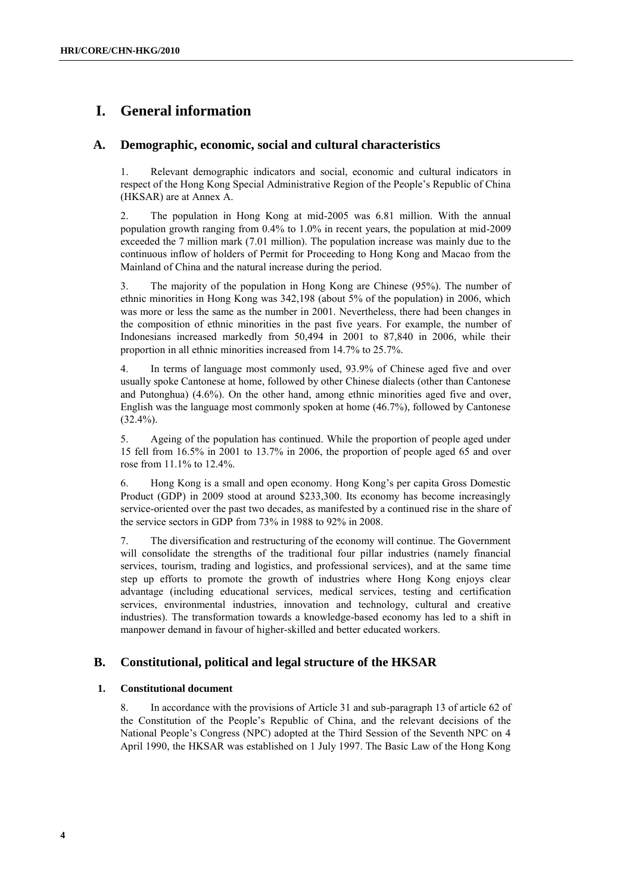## **I. General information**

## **A. Demographic, economic, social and cultural characteristics**

1. Relevant demographic indicators and social, economic and cultural indicators in respect of the Hong Kong Special Administrative Region of the People's Republic of China (HKSAR) are at Annex A.

2. The population in Hong Kong at mid-2005 was 6.81 million. With the annual population growth ranging from 0.4% to 1.0% in recent years, the population at mid-2009 exceeded the 7 million mark (7.01 million). The population increase was mainly due to the continuous inflow of holders of Permit for Proceeding to Hong Kong and Macao from the Mainland of China and the natural increase during the period.

3. The majority of the population in Hong Kong are Chinese (95%). The number of ethnic minorities in Hong Kong was 342,198 (about 5% of the population) in 2006, which was more or less the same as the number in 2001. Nevertheless, there had been changes in the composition of ethnic minorities in the past five years. For example, the number of Indonesians increased markedly from 50,494 in 2001 to 87,840 in 2006, while their proportion in all ethnic minorities increased from 14.7% to 25.7%.

4. In terms of language most commonly used, 93.9% of Chinese aged five and over usually spoke Cantonese at home, followed by other Chinese dialects (other than Cantonese and Putonghua) (4.6%). On the other hand, among ethnic minorities aged five and over, English was the language most commonly spoken at home (46.7%), followed by Cantonese  $(32.4\%)$ .

5. Ageing of the population has continued. While the proportion of people aged under 15 fell from 16.5% in 2001 to 13.7% in 2006, the proportion of people aged 65 and over rose from 11.1% to 12.4%.

6. Hong Kong is a small and open economy. Hong Kong's per capita Gross Domestic Product (GDP) in 2009 stood at around \$233,300. Its economy has become increasingly service-oriented over the past two decades, as manifested by a continued rise in the share of the service sectors in GDP from 73% in 1988 to 92% in 2008.

7. The diversification and restructuring of the economy will continue. The Government will consolidate the strengths of the traditional four pillar industries (namely financial services, tourism, trading and logistics, and professional services), and at the same time step up efforts to promote the growth of industries where Hong Kong enjoys clear advantage (including educational services, medical services, testing and certification services, environmental industries, innovation and technology, cultural and creative industries). The transformation towards a knowledge-based economy has led to a shift in manpower demand in favour of higher-skilled and better educated workers.

## **B. Constitutional, political and legal structure of the HKSAR**

#### **1. Constitutional document**

8. In accordance with the provisions of Article 31 and sub-paragraph 13 of article 62 of the Constitution of the People's Republic of China, and the relevant decisions of the National People's Congress (NPC) adopted at the Third Session of the Seventh NPC on 4 April 1990, the HKSAR was established on 1 July 1997. The Basic Law of the Hong Kong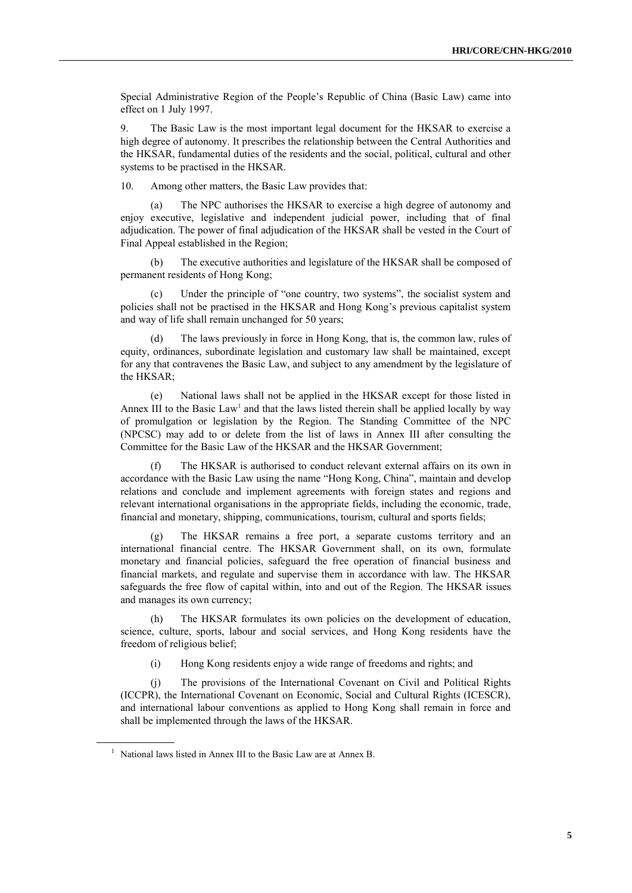Special Administrative Region of the People's Republic of China (Basic Law) came into effect on 1 July 1997.

9. The Basic Law is the most important legal document for the HKSAR to exercise a high degree of autonomy. It prescribes the relationship between the Central Authorities and the HKSAR, fundamental duties of the residents and the social, political, cultural and other systems to be practised in the HKSAR.

10. Among other matters, the Basic Law provides that:

The NPC authorises the HKSAR to exercise a high degree of autonomy and enjoy executive, legislative and independent judicial power, including that of final adjudication. The power of final adjudication of the HKSAR shall be vested in the Court of Final Appeal established in the Region;

(b) The executive authorities and legislature of the HKSAR shall be composed of permanent residents of Hong Kong;

(c) Under the principle of "one country, two systems", the socialist system and policies shall not be practised in the HKSAR and Hong Kong's previous capitalist system and way of life shall remain unchanged for 50 years;

(d) The laws previously in force in Hong Kong, that is, the common law, rules of equity, ordinances, subordinate legislation and customary law shall be maintained, except for any that contravenes the Basic Law, and subject to any amendment by the legislature of the HKSAR;

(e) National laws shall not be applied in the HKSAR except for those listed in Annex III to the Basic Law<sup>1</sup> and that the laws listed therein shall be applied locally by way of promulgation or legislation by the Region. The Standing Committee of the NPC (NPCSC) may add to or delete from the list of laws in Annex III after consulting the Committee for the Basic Law of the HKSAR and the HKSAR Government;

(f) The HKSAR is authorised to conduct relevant external affairs on its own in accordance with the Basic Law using the name "Hong Kong, China", maintain and develop relations and conclude and implement agreements with foreign states and regions and relevant international organisations in the appropriate fields, including the economic, trade, financial and monetary, shipping, communications, tourism, cultural and sports fields;

(g) The HKSAR remains a free port, a separate customs territory and an international financial centre. The HKSAR Government shall, on its own, formulate monetary and financial policies, safeguard the free operation of financial business and financial markets, and regulate and supervise them in accordance with law. The HKSAR safeguards the free flow of capital within, into and out of the Region. The HKSAR issues and manages its own currency;

The HKSAR formulates its own policies on the development of education, science, culture, sports, labour and social services, and Hong Kong residents have the freedom of religious belief;

(i) Hong Kong residents enjoy a wide range of freedoms and rights; and

(j) The provisions of the International Covenant on Civil and Political Rights (ICCPR), the International Covenant on Economic, Social and Cultural Rights (ICESCR), and international labour conventions as applied to Hong Kong shall remain in force and shall be implemented through the laws of the HKSAR.

 $<sup>1</sup>$  National laws listed in Annex III to the Basic Law are at Annex B.</sup>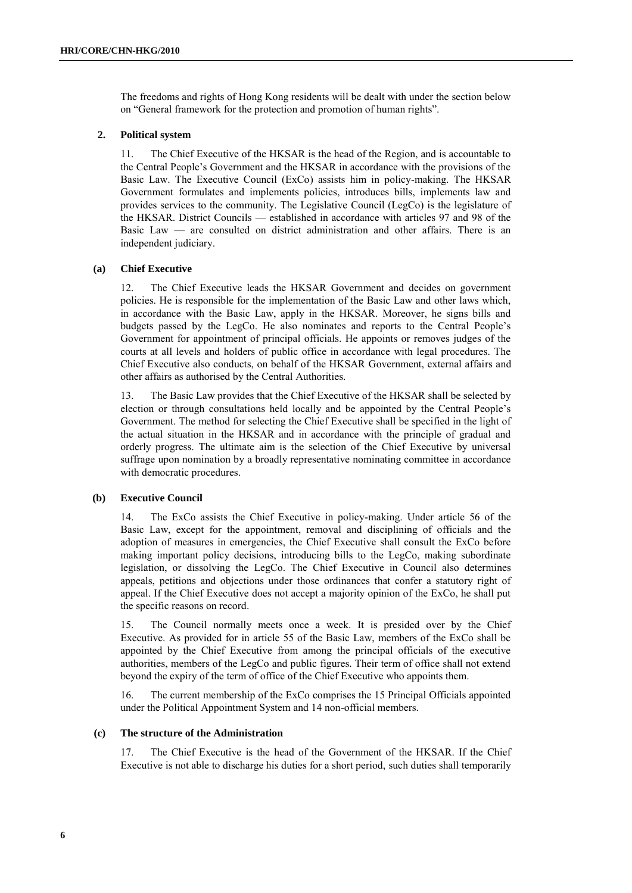The freedoms and rights of Hong Kong residents will be dealt with under the section below on "General framework for the protection and promotion of human rights".

#### **2. Political system**

11. The Chief Executive of the HKSAR is the head of the Region, and is accountable to the Central People's Government and the HKSAR in accordance with the provisions of the Basic Law. The Executive Council (ExCo) assists him in policy-making. The HKSAR Government formulates and implements policies, introduces bills, implements law and provides services to the community. The Legislative Council (LegCo) is the legislature of the HKSAR. District Councils — established in accordance with articles 97 and 98 of the Basic Law — are consulted on district administration and other affairs. There is an independent judiciary.

#### **(a) Chief Executive**

12. The Chief Executive leads the HKSAR Government and decides on government policies. He is responsible for the implementation of the Basic Law and other laws which, in accordance with the Basic Law, apply in the HKSAR. Moreover, he signs bills and budgets passed by the LegCo. He also nominates and reports to the Central People's Government for appointment of principal officials. He appoints or removes judges of the courts at all levels and holders of public office in accordance with legal procedures. The Chief Executive also conducts, on behalf of the HKSAR Government, external affairs and other affairs as authorised by the Central Authorities.

13. The Basic Law provides that the Chief Executive of the HKSAR shall be selected by election or through consultations held locally and be appointed by the Central People's Government. The method for selecting the Chief Executive shall be specified in the light of the actual situation in the HKSAR and in accordance with the principle of gradual and orderly progress. The ultimate aim is the selection of the Chief Executive by universal suffrage upon nomination by a broadly representative nominating committee in accordance with democratic procedures.

#### **(b) Executive Council**

14. The ExCo assists the Chief Executive in policy-making. Under article 56 of the Basic Law, except for the appointment, removal and disciplining of officials and the adoption of measures in emergencies, the Chief Executive shall consult the ExCo before making important policy decisions, introducing bills to the LegCo, making subordinate legislation, or dissolving the LegCo. The Chief Executive in Council also determines appeals, petitions and objections under those ordinances that confer a statutory right of appeal. If the Chief Executive does not accept a majority opinion of the ExCo, he shall put the specific reasons on record.

15. The Council normally meets once a week. It is presided over by the Chief Executive. As provided for in article 55 of the Basic Law, members of the ExCo shall be appointed by the Chief Executive from among the principal officials of the executive authorities, members of the LegCo and public figures. Their term of office shall not extend beyond the expiry of the term of office of the Chief Executive who appoints them.

16. The current membership of the ExCo comprises the 15 Principal Officials appointed under the Political Appointment System and 14 non-official members.

#### **(c) The structure of the Administration**

17. The Chief Executive is the head of the Government of the HKSAR. If the Chief Executive is not able to discharge his duties for a short period, such duties shall temporarily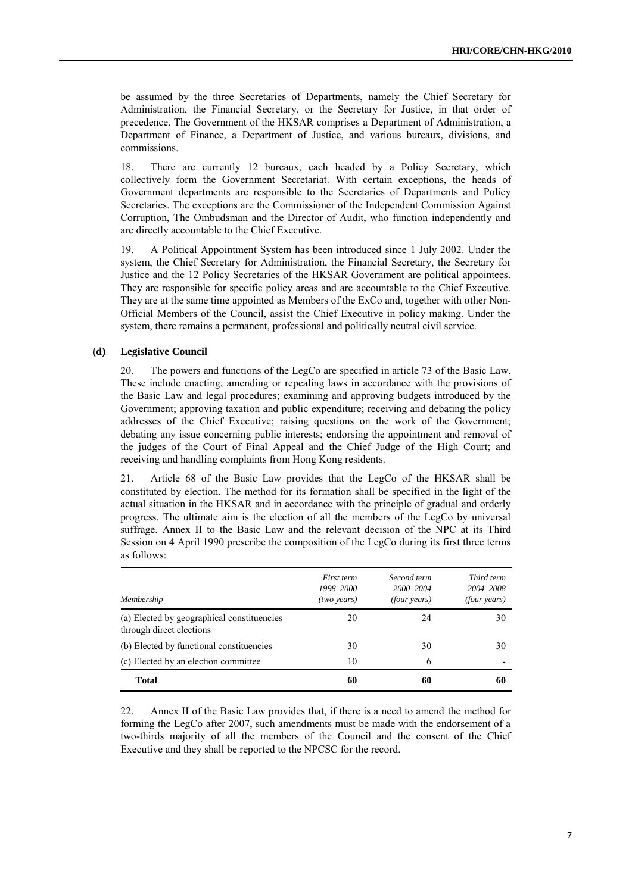be assumed by the three Secretaries of Departments, namely the Chief Secretary for Administration, the Financial Secretary, or the Secretary for Justice, in that order of precedence. The Government of the HKSAR comprises a Department of Administration, a Department of Finance, a Department of Justice, and various bureaux, divisions, and commissions.

18. There are currently 12 bureaux, each headed by a Policy Secretary, which collectively form the Government Secretariat. With certain exceptions, the heads of Government departments are responsible to the Secretaries of Departments and Policy Secretaries. The exceptions are the Commissioner of the Independent Commission Against Corruption, The Ombudsman and the Director of Audit, who function independently and are directly accountable to the Chief Executive.

19. A Political Appointment System has been introduced since 1 July 2002. Under the system, the Chief Secretary for Administration, the Financial Secretary, the Secretary for Justice and the 12 Policy Secretaries of the HKSAR Government are political appointees. They are responsible for specific policy areas and are accountable to the Chief Executive. They are at the same time appointed as Members of the ExCo and, together with other Non-Official Members of the Council, assist the Chief Executive in policy making. Under the system, there remains a permanent, professional and politically neutral civil service.

#### **(d) Legislative Council**

20. The powers and functions of the LegCo are specified in article 73 of the Basic Law. These include enacting, amending or repealing laws in accordance with the provisions of the Basic Law and legal procedures; examining and approving budgets introduced by the Government; approving taxation and public expenditure; receiving and debating the policy addresses of the Chief Executive; raising questions on the work of the Government; debating any issue concerning public interests; endorsing the appointment and removal of the judges of the Court of Final Appeal and the Chief Judge of the High Court; and receiving and handling complaints from Hong Kong residents.

21. Article 68 of the Basic Law provides that the LegCo of the HKSAR shall be constituted by election. The method for its formation shall be specified in the light of the actual situation in the HKSAR and in accordance with the principle of gradual and orderly progress. The ultimate aim is the election of all the members of the LegCo by universal suffrage. Annex II to the Basic Law and the relevant decision of the NPC at its Third Session on 4 April 1990 prescribe the composition of the LegCo during its first three terms as follows:

| Membership                                                             | First term<br>1998–2000<br>(two years) | Second term<br>2000-2004<br><i>(four years)</i> | Third term<br>2004-2008<br><i>(four years)</i> |
|------------------------------------------------------------------------|----------------------------------------|-------------------------------------------------|------------------------------------------------|
| (a) Elected by geographical constituencies<br>through direct elections | 20                                     | 24                                              | 30                                             |
| (b) Elected by functional constituencies                               | 30                                     | 30                                              | 30                                             |
| (c) Elected by an election committee                                   | 10                                     | 6                                               |                                                |
| <b>Total</b>                                                           | 60                                     | 60                                              | 60                                             |

22. Annex II of the Basic Law provides that, if there is a need to amend the method for forming the LegCo after 2007, such amendments must be made with the endorsement of a two-thirds majority of all the members of the Council and the consent of the Chief Executive and they shall be reported to the NPCSC for the record.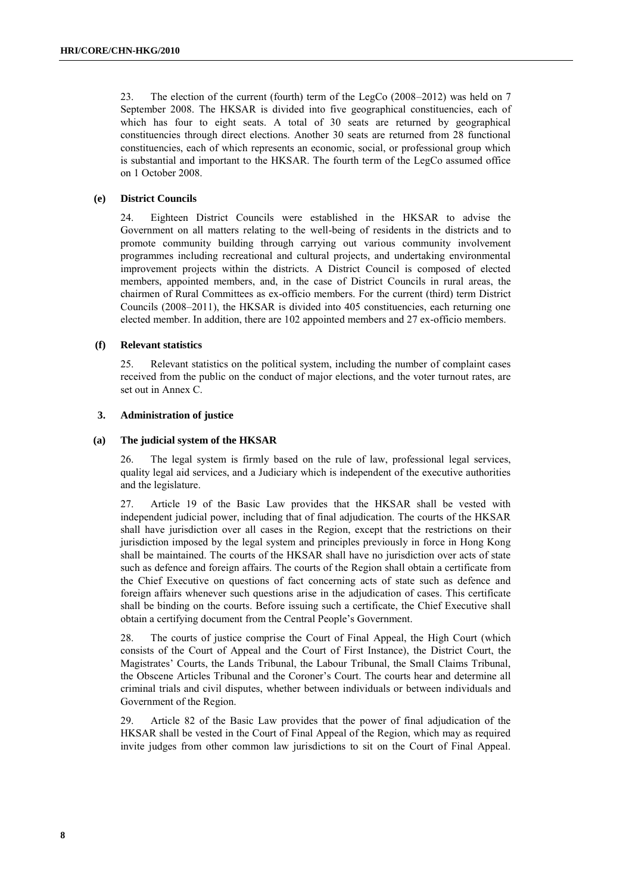23. The election of the current (fourth) term of the LegCo (2008–2012) was held on 7 September 2008. The HKSAR is divided into five geographical constituencies, each of which has four to eight seats. A total of 30 seats are returned by geographical constituencies through direct elections. Another 30 seats are returned from 28 functional constituencies, each of which represents an economic, social, or professional group which is substantial and important to the HKSAR. The fourth term of the LegCo assumed office on 1 October 2008.

#### **(e) District Councils**

24. Eighteen District Councils were established in the HKSAR to advise the Government on all matters relating to the well-being of residents in the districts and to promote community building through carrying out various community involvement programmes including recreational and cultural projects, and undertaking environmental improvement projects within the districts. A District Council is composed of elected members, appointed members, and, in the case of District Councils in rural areas, the chairmen of Rural Committees as ex-officio members. For the current (third) term District Councils (2008–2011), the HKSAR is divided into 405 constituencies, each returning one elected member. In addition, there are 102 appointed members and 27 ex-officio members.

#### **(f) Relevant statistics**

25. Relevant statistics on the political system, including the number of complaint cases received from the public on the conduct of major elections, and the voter turnout rates, are set out in Annex C.

#### **3. Administration of justice**

#### **(a) The judicial system of the HKSAR**

26. The legal system is firmly based on the rule of law, professional legal services, quality legal aid services, and a Judiciary which is independent of the executive authorities and the legislature.

27. Article 19 of the Basic Law provides that the HKSAR shall be vested with independent judicial power, including that of final adjudication. The courts of the HKSAR shall have jurisdiction over all cases in the Region, except that the restrictions on their jurisdiction imposed by the legal system and principles previously in force in Hong Kong shall be maintained. The courts of the HKSAR shall have no jurisdiction over acts of state such as defence and foreign affairs. The courts of the Region shall obtain a certificate from the Chief Executive on questions of fact concerning acts of state such as defence and foreign affairs whenever such questions arise in the adjudication of cases. This certificate shall be binding on the courts. Before issuing such a certificate, the Chief Executive shall obtain a certifying document from the Central People's Government.

28. The courts of justice comprise the Court of Final Appeal, the High Court (which consists of the Court of Appeal and the Court of First Instance), the District Court, the Magistrates' Courts, the Lands Tribunal, the Labour Tribunal, the Small Claims Tribunal, the Obscene Articles Tribunal and the Coroner's Court. The courts hear and determine all criminal trials and civil disputes, whether between individuals or between individuals and Government of the Region.

29. Article 82 of the Basic Law provides that the power of final adjudication of the HKSAR shall be vested in the Court of Final Appeal of the Region, which may as required invite judges from other common law jurisdictions to sit on the Court of Final Appeal.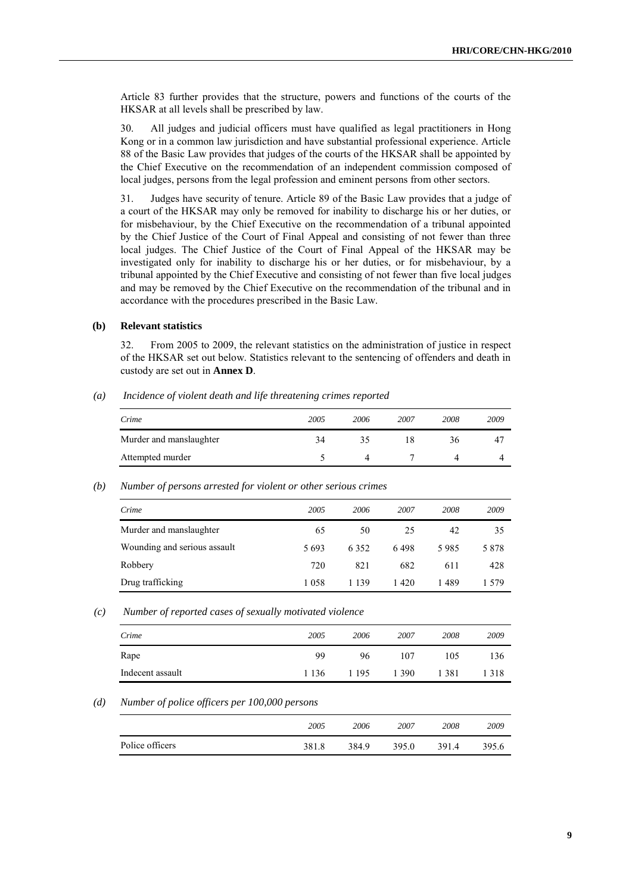Article 83 further provides that the structure, powers and functions of the courts of the HKSAR at all levels shall be prescribed by law.

30. All judges and judicial officers must have qualified as legal practitioners in Hong Kong or in a common law jurisdiction and have substantial professional experience. Article 88 of the Basic Law provides that judges of the courts of the HKSAR shall be appointed by the Chief Executive on the recommendation of an independent commission composed of local judges, persons from the legal profession and eminent persons from other sectors.

31. Judges have security of tenure. Article 89 of the Basic Law provides that a judge of a court of the HKSAR may only be removed for inability to discharge his or her duties, or for misbehaviour, by the Chief Executive on the recommendation of a tribunal appointed by the Chief Justice of the Court of Final Appeal and consisting of not fewer than three local judges. The Chief Justice of the Court of Final Appeal of the HKSAR may be investigated only for inability to discharge his or her duties, or for misbehaviour, by a tribunal appointed by the Chief Executive and consisting of not fewer than five local judges and may be removed by the Chief Executive on the recommendation of the tribunal and in accordance with the procedures prescribed in the Basic Law.

#### **(b) Relevant statistics**

32. From 2005 to 2009, the relevant statistics on the administration of justice in respect of the HKSAR set out below. Statistics relevant to the sentencing of offenders and death in custody are set out in **Annex D**.

#### *(a) Incidence of violent death and life threatening crimes reported*

| Crime                   | 2005 | 2006 | 2007 | 2008 | 2009  |
|-------------------------|------|------|------|------|-------|
| Murder and manslaughter | 34   | 35   | 18   | 36   | $4^7$ |
| Attempted murder        |      |      |      |      |       |

#### *(b) Number of persons arrested for violent or other serious crimes*

| Crime                        | 2005 | 2006    | 2007 | 2008 | 2009  |
|------------------------------|------|---------|------|------|-------|
| Murder and manslaughter      | 65   | 50      | 25   | 42   | 35    |
| Wounding and serious assault | 5693 | 6 3 5 2 | 6498 | 5985 | 5878  |
| Robbery                      | 720  | 821     | 682  | 611  | 428   |
| Drug trafficking             | 1058 | 1 1 3 9 | 1420 | 1489 | 1.579 |

#### *(c) Number of reported cases of sexually motivated violence*

| Crime            | 2005    | 2006  | 2007    | 2008 | 2009  |
|------------------|---------|-------|---------|------|-------|
| Rape             | 99      | 96    | 107     | 105  | 136   |
| Indecent assault | 1 1 3 6 | l 195 | 1 3 9 0 | 381  | ! 318 |

#### *(d) Number of police officers per 100,000 persons*

|                 | 2005  | 2006  | 2007  | 2008  | 2009  |
|-----------------|-------|-------|-------|-------|-------|
| Police officers | 381.8 | 384.9 | 395.0 | 391.4 | 395.6 |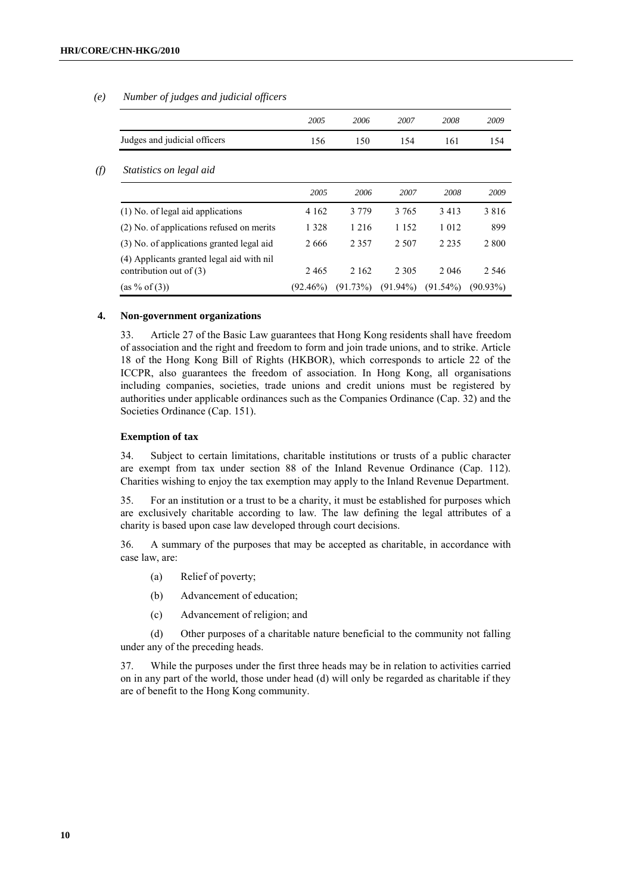|                                                                        | 2005        | 2006     | 2007        | 2008        | 2009        |
|------------------------------------------------------------------------|-------------|----------|-------------|-------------|-------------|
| Judges and judicial officers                                           | 156         | 150      | 154         | 161         | 154         |
| Statistics on legal aid                                                |             |          |             |             |             |
|                                                                        | 2005        | 2006     | 2007        | 2008        | 2009        |
| (1) No. of legal aid applications                                      | 4 1 6 2     | 3 7 7 9  | 3 7 6 5     | 3 4 1 3     | 3816        |
| (2) No. of applications refused on merits                              | 1 3 2 8     | 1 2 1 6  | 1 1 5 2     | 1 0 1 2     | 899         |
| (3) No. of applications granted legal aid                              | 2666        | 2 3 5 7  | 2 5 0 7     | 2 2 3 5     | 2 8 0 0     |
| (4) Applicants granted legal aid with nil<br>contribution out of $(3)$ | 2465        | 2 1 6 2  | 2 3 0 5     | 2 0 4 6     | 2 5 4 6     |
| (as % of (3))                                                          | $(92.46\%)$ | (91.73%) | $(91.94\%)$ | $(91.54\%)$ | $(90.93\%)$ |

#### *(e) Number of judges and judicial officers*

#### **4. Non-government organizations**

33. Article 27 of the Basic Law guarantees that Hong Kong residents shall have freedom of association and the right and freedom to form and join trade unions, and to strike. Article 18 of the Hong Kong Bill of Rights (HKBOR), which corresponds to article 22 of the ICCPR, also guarantees the freedom of association. In Hong Kong, all organisations including companies, societies, trade unions and credit unions must be registered by authorities under applicable ordinances such as the Companies Ordinance (Cap. 32) and the Societies Ordinance (Cap. 151).

#### **Exemption of tax**

34. Subject to certain limitations, charitable institutions or trusts of a public character are exempt from tax under section 88 of the Inland Revenue Ordinance (Cap. 112). Charities wishing to enjoy the tax exemption may apply to the Inland Revenue Department.

35. For an institution or a trust to be a charity, it must be established for purposes which are exclusively charitable according to law. The law defining the legal attributes of a charity is based upon case law developed through court decisions.

36. A summary of the purposes that may be accepted as charitable, in accordance with case law, are:

- (a) Relief of poverty;
- (b) Advancement of education;
- (c) Advancement of religion; and

(d) Other purposes of a charitable nature beneficial to the community not falling under any of the preceding heads.

37. While the purposes under the first three heads may be in relation to activities carried on in any part of the world, those under head (d) will only be regarded as charitable if they are of benefit to the Hong Kong community.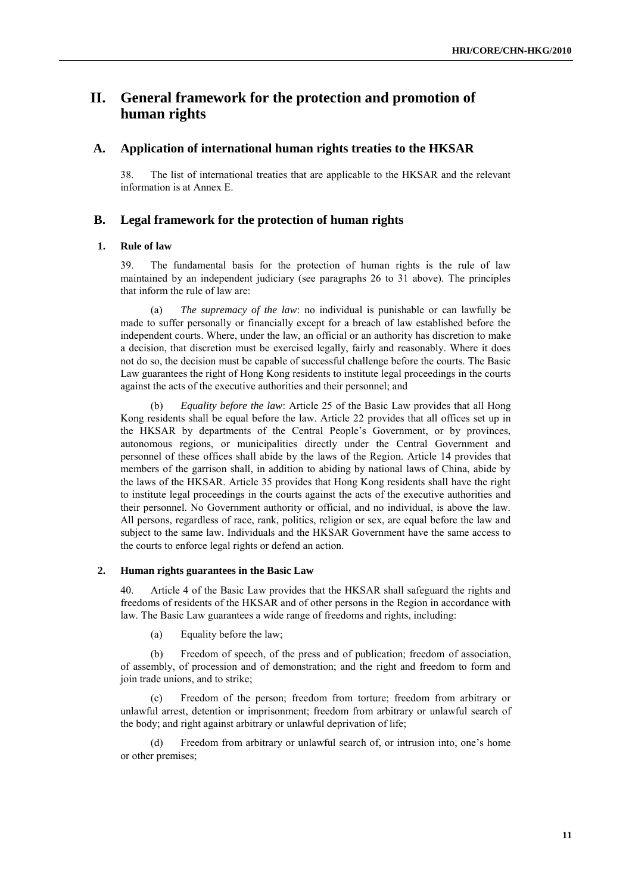## **II. General framework for the protection and promotion of human rights**

### **A. Application of international human rights treaties to the HKSAR**

38. The list of international treaties that are applicable to the HKSAR and the relevant information is at Annex E.

### **B. Legal framework for the protection of human rights**

#### **1. Rule of law**

39. The fundamental basis for the protection of human rights is the rule of law maintained by an independent judiciary (see paragraphs 26 to 31 above). The principles that inform the rule of law are:

(a) *The supremacy of the law*: no individual is punishable or can lawfully be made to suffer personally or financially except for a breach of law established before the independent courts. Where, under the law, an official or an authority has discretion to make a decision, that discretion must be exercised legally, fairly and reasonably. Where it does not do so, the decision must be capable of successful challenge before the courts. The Basic Law guarantees the right of Hong Kong residents to institute legal proceedings in the courts against the acts of the executive authorities and their personnel; and

(b) *Equality before the law*: Article 25 of the Basic Law provides that all Hong Kong residents shall be equal before the law. Article 22 provides that all offices set up in the HKSAR by departments of the Central People's Government, or by provinces, autonomous regions, or municipalities directly under the Central Government and personnel of these offices shall abide by the laws of the Region. Article 14 provides that members of the garrison shall, in addition to abiding by national laws of China, abide by the laws of the HKSAR. Article 35 provides that Hong Kong residents shall have the right to institute legal proceedings in the courts against the acts of the executive authorities and their personnel. No Government authority or official, and no individual, is above the law. All persons, regardless of race, rank, politics, religion or sex, are equal before the law and subject to the same law. Individuals and the HKSAR Government have the same access to the courts to enforce legal rights or defend an action.

#### **2. Human rights guarantees in the Basic Law**

40. Article 4 of the Basic Law provides that the HKSAR shall safeguard the rights and freedoms of residents of the HKSAR and of other persons in the Region in accordance with law. The Basic Law guarantees a wide range of freedoms and rights, including:

(a) Equality before the law;

(b) Freedom of speech, of the press and of publication; freedom of association, of assembly, of procession and of demonstration; and the right and freedom to form and join trade unions, and to strike;

(c) Freedom of the person; freedom from torture; freedom from arbitrary or unlawful arrest, detention or imprisonment; freedom from arbitrary or unlawful search of the body; and right against arbitrary or unlawful deprivation of life;

(d) Freedom from arbitrary or unlawful search of, or intrusion into, one's home or other premises;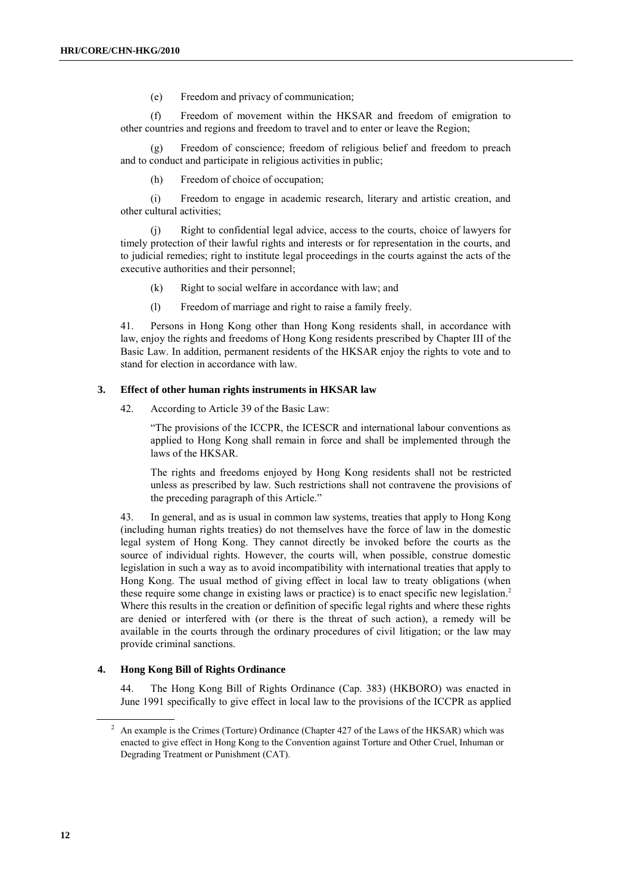(e) Freedom and privacy of communication;

(f) Freedom of movement within the HKSAR and freedom of emigration to other countries and regions and freedom to travel and to enter or leave the Region;

(g) Freedom of conscience; freedom of religious belief and freedom to preach and to conduct and participate in religious activities in public;

(h) Freedom of choice of occupation;

(i) Freedom to engage in academic research, literary and artistic creation, and other cultural activities;

(j) Right to confidential legal advice, access to the courts, choice of lawyers for timely protection of their lawful rights and interests or for representation in the courts, and to judicial remedies; right to institute legal proceedings in the courts against the acts of the executive authorities and their personnel;

- (k) Right to social welfare in accordance with law; and
- (l) Freedom of marriage and right to raise a family freely.

41. Persons in Hong Kong other than Hong Kong residents shall, in accordance with law, enjoy the rights and freedoms of Hong Kong residents prescribed by Chapter III of the Basic Law. In addition, permanent residents of the HKSAR enjoy the rights to vote and to stand for election in accordance with law.

#### **3. Effect of other human rights instruments in HKSAR law**

42. According to Article 39 of the Basic Law:

"The provisions of the ICCPR, the ICESCR and international labour conventions as applied to Hong Kong shall remain in force and shall be implemented through the laws of the HKSAR.

The rights and freedoms enjoyed by Hong Kong residents shall not be restricted unless as prescribed by law. Such restrictions shall not contravene the provisions of the preceding paragraph of this Article."

43. In general, and as is usual in common law systems, treaties that apply to Hong Kong (including human rights treaties) do not themselves have the force of law in the domestic legal system of Hong Kong. They cannot directly be invoked before the courts as the source of individual rights. However, the courts will, when possible, construe domestic legislation in such a way as to avoid incompatibility with international treaties that apply to Hong Kong. The usual method of giving effect in local law to treaty obligations (when these require some change in existing laws or practice) is to enact specific new legislation. 2 Where this results in the creation or definition of specific legal rights and where these rights are denied or interfered with (or there is the threat of such action), a remedy will be available in the courts through the ordinary procedures of civil litigation; or the law may provide criminal sanctions.

#### **4. Hong Kong Bill of Rights Ordinance**

44. The Hong Kong Bill of Rights Ordinance (Cap. 383) (HKBORO) was enacted in June 1991 specifically to give effect in local law to the provisions of the ICCPR as applied

<sup>&</sup>lt;sup>2</sup> An example is the Crimes (Torture) Ordinance (Chapter 427 of the Laws of the HKSAR) which was enacted to give effect in Hong Kong to the Convention against Torture and Other Cruel, Inhuman or Degrading Treatment or Punishment (CAT).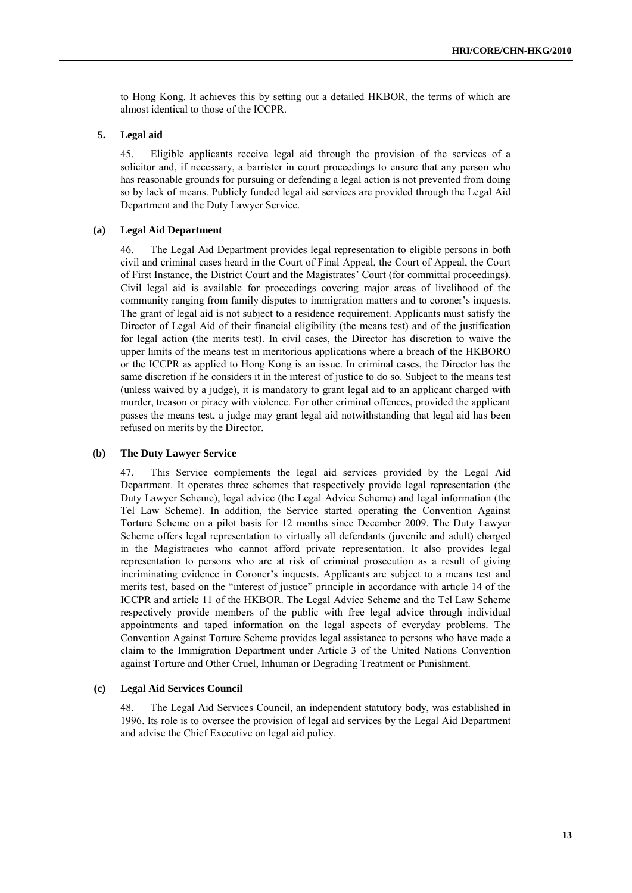to Hong Kong. It achieves this by setting out a detailed HKBOR, the terms of which are almost identical to those of the ICCPR.

#### **5. Legal aid**

45. Eligible applicants receive legal aid through the provision of the services of a solicitor and, if necessary, a barrister in court proceedings to ensure that any person who has reasonable grounds for pursuing or defending a legal action is not prevented from doing so by lack of means. Publicly funded legal aid services are provided through the Legal Aid Department and the Duty Lawyer Service.

#### **(a) Legal Aid Department**

46. The Legal Aid Department provides legal representation to eligible persons in both civil and criminal cases heard in the Court of Final Appeal, the Court of Appeal, the Court of First Instance, the District Court and the Magistrates' Court (for committal proceedings). Civil legal aid is available for proceedings covering major areas of livelihood of the community ranging from family disputes to immigration matters and to coroner's inquests. The grant of legal aid is not subject to a residence requirement. Applicants must satisfy the Director of Legal Aid of their financial eligibility (the means test) and of the justification for legal action (the merits test). In civil cases, the Director has discretion to waive the upper limits of the means test in meritorious applications where a breach of the HKBORO or the ICCPR as applied to Hong Kong is an issue. In criminal cases, the Director has the same discretion if he considers it in the interest of justice to do so. Subject to the means test (unless waived by a judge), it is mandatory to grant legal aid to an applicant charged with murder, treason or piracy with violence. For other criminal offences, provided the applicant passes the means test, a judge may grant legal aid notwithstanding that legal aid has been refused on merits by the Director.

#### **(b) The Duty Lawyer Service**

47. This Service complements the legal aid services provided by the Legal Aid Department. It operates three schemes that respectively provide legal representation (the Duty Lawyer Scheme), legal advice (the Legal Advice Scheme) and legal information (the Tel Law Scheme). In addition, the Service started operating the Convention Against Torture Scheme on a pilot basis for 12 months since December 2009. The Duty Lawyer Scheme offers legal representation to virtually all defendants (juvenile and adult) charged in the Magistracies who cannot afford private representation. It also provides legal representation to persons who are at risk of criminal prosecution as a result of giving incriminating evidence in Coroner's inquests. Applicants are subject to a means test and merits test, based on the "interest of justice" principle in accordance with article 14 of the ICCPR and article 11 of the HKBOR. The Legal Advice Scheme and the Tel Law Scheme respectively provide members of the public with free legal advice through individual appointments and taped information on the legal aspects of everyday problems. The Convention Against Torture Scheme provides legal assistance to persons who have made a claim to the Immigration Department under Article 3 of the United Nations Convention against Torture and Other Cruel, Inhuman or Degrading Treatment or Punishment.

#### **(c) Legal Aid Services Council**

48. The Legal Aid Services Council, an independent statutory body, was established in 1996. Its role is to oversee the provision of legal aid services by the Legal Aid Department and advise the Chief Executive on legal aid policy.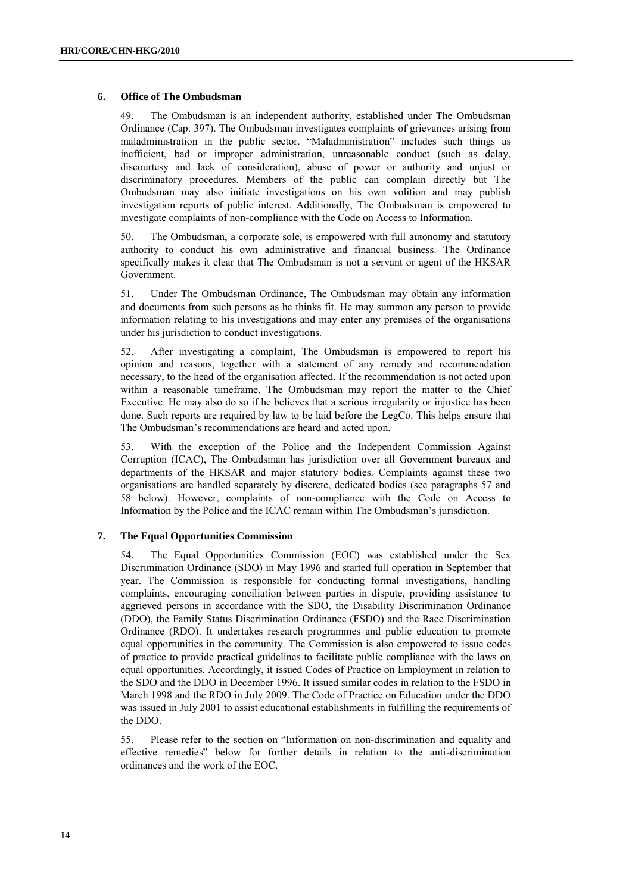#### **6. Office of The Ombudsman**

49. The Ombudsman is an independent authority, established under The Ombudsman Ordinance (Cap. 397). The Ombudsman investigates complaints of grievances arising from maladministration in the public sector. "Maladministration" includes such things as inefficient, bad or improper administration, unreasonable conduct (such as delay, discourtesy and lack of consideration), abuse of power or authority and unjust or discriminatory procedures. Members of the public can complain directly but The Ombudsman may also initiate investigations on his own volition and may publish investigation reports of public interest. Additionally, The Ombudsman is empowered to investigate complaints of non-compliance with the Code on Access to Information.

50. The Ombudsman, a corporate sole, is empowered with full autonomy and statutory authority to conduct his own administrative and financial business. The Ordinance specifically makes it clear that The Ombudsman is not a servant or agent of the HKSAR Government.

51. Under The Ombudsman Ordinance, The Ombudsman may obtain any information and documents from such persons as he thinks fit. He may summon any person to provide information relating to his investigations and may enter any premises of the organisations under his jurisdiction to conduct investigations.

52. After investigating a complaint, The Ombudsman is empowered to report his opinion and reasons, together with a statement of any remedy and recommendation necessary, to the head of the organisation affected. If the recommendation is not acted upon within a reasonable timeframe. The Ombudsman may report the matter to the Chief Executive. He may also do so if he believes that a serious irregularity or injustice has been done. Such reports are required by law to be laid before the LegCo. This helps ensure that The Ombudsman's recommendations are heard and acted upon.

53. With the exception of the Police and the Independent Commission Against Corruption (ICAC), The Ombudsman has jurisdiction over all Government bureaux and departments of the HKSAR and major statutory bodies. Complaints against these two organisations are handled separately by discrete, dedicated bodies (see paragraphs 57 and 58 below). However, complaints of non-compliance with the Code on Access to Information by the Police and the ICAC remain within The Ombudsman's jurisdiction.

#### **7. The Equal Opportunities Commission**

54. The Equal Opportunities Commission (EOC) was established under the Sex Discrimination Ordinance (SDO) in May 1996 and started full operation in September that year. The Commission is responsible for conducting formal investigations, handling complaints, encouraging conciliation between parties in dispute, providing assistance to aggrieved persons in accordance with the SDO, the Disability Discrimination Ordinance (DDO), the Family Status Discrimination Ordinance (FSDO) and the Race Discrimination Ordinance (RDO). It undertakes research programmes and public education to promote equal opportunities in the community. The Commission is also empowered to issue codes of practice to provide practical guidelines to facilitate public compliance with the laws on equal opportunities. Accordingly, it issued Codes of Practice on Employment in relation to the SDO and the DDO in December 1996. It issued similar codes in relation to the FSDO in March 1998 and the RDO in July 2009. The Code of Practice on Education under the DDO was issued in July 2001 to assist educational establishments in fulfilling the requirements of the DDO.

55. Please refer to the section on "Information on non-discrimination and equality and effective remedies‖ below for further details in relation to the anti-discrimination ordinances and the work of the EOC.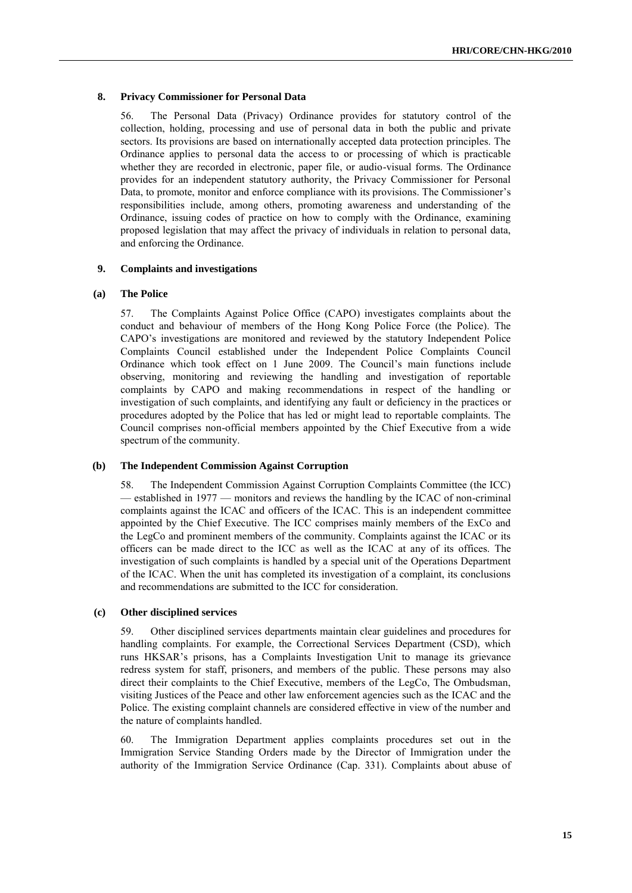#### **8. Privacy Commissioner for Personal Data**

56. The Personal Data (Privacy) Ordinance provides for statutory control of the collection, holding, processing and use of personal data in both the public and private sectors. Its provisions are based on internationally accepted data protection principles. The Ordinance applies to personal data the access to or processing of which is practicable whether they are recorded in electronic, paper file, or audio-visual forms. The Ordinance provides for an independent statutory authority, the Privacy Commissioner for Personal Data, to promote, monitor and enforce compliance with its provisions. The Commissioner's responsibilities include, among others, promoting awareness and understanding of the Ordinance, issuing codes of practice on how to comply with the Ordinance, examining proposed legislation that may affect the privacy of individuals in relation to personal data, and enforcing the Ordinance.

#### **9. Complaints and investigations**

#### **(a) The Police**

57. The Complaints Against Police Office (CAPO) investigates complaints about the conduct and behaviour of members of the Hong Kong Police Force (the Police). The CAPO's investigations are monitored and reviewed by the statutory Independent Police Complaints Council established under the Independent Police Complaints Council Ordinance which took effect on 1 June 2009. The Council's main functions include observing, monitoring and reviewing the handling and investigation of reportable complaints by CAPO and making recommendations in respect of the handling or investigation of such complaints, and identifying any fault or deficiency in the practices or procedures adopted by the Police that has led or might lead to reportable complaints. The Council comprises non-official members appointed by the Chief Executive from a wide spectrum of the community.

#### **(b) The Independent Commission Against Corruption**

58. The Independent Commission Against Corruption Complaints Committee (the ICC) — established in 1977 — monitors and reviews the handling by the ICAC of non-criminal complaints against the ICAC and officers of the ICAC. This is an independent committee appointed by the Chief Executive. The ICC comprises mainly members of the ExCo and the LegCo and prominent members of the community. Complaints against the ICAC or its officers can be made direct to the ICC as well as the ICAC at any of its offices. The investigation of such complaints is handled by a special unit of the Operations Department of the ICAC. When the unit has completed its investigation of a complaint, its conclusions and recommendations are submitted to the ICC for consideration.

#### **(c) Other disciplined services**

59. Other disciplined services departments maintain clear guidelines and procedures for handling complaints. For example, the Correctional Services Department (CSD), which runs HKSAR's prisons, has a Complaints Investigation Unit to manage its grievance redress system for staff, prisoners, and members of the public. These persons may also direct their complaints to the Chief Executive, members of the LegCo, The Ombudsman, visiting Justices of the Peace and other law enforcement agencies such as the ICAC and the Police. The existing complaint channels are considered effective in view of the number and the nature of complaints handled.

60. The Immigration Department applies complaints procedures set out in the Immigration Service Standing Orders made by the Director of Immigration under the authority of the Immigration Service Ordinance (Cap. 331). Complaints about abuse of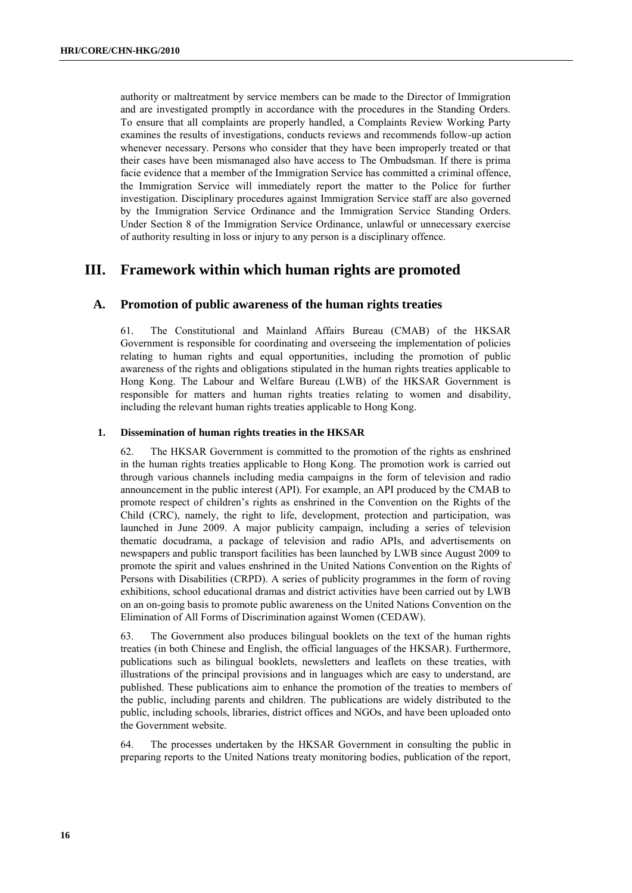authority or maltreatment by service members can be made to the Director of Immigration and are investigated promptly in accordance with the procedures in the Standing Orders. To ensure that all complaints are properly handled, a Complaints Review Working Party examines the results of investigations, conducts reviews and recommends follow-up action whenever necessary. Persons who consider that they have been improperly treated or that their cases have been mismanaged also have access to The Ombudsman. If there is prima facie evidence that a member of the Immigration Service has committed a criminal offence, the Immigration Service will immediately report the matter to the Police for further investigation. Disciplinary procedures against Immigration Service staff are also governed by the Immigration Service Ordinance and the Immigration Service Standing Orders. Under Section 8 of the Immigration Service Ordinance, unlawful or unnecessary exercise of authority resulting in loss or injury to any person is a disciplinary offence.

## **III. Framework within which human rights are promoted**

### **A. Promotion of public awareness of the human rights treaties**

61. The Constitutional and Mainland Affairs Bureau (CMAB) of the HKSAR Government is responsible for coordinating and overseeing the implementation of policies relating to human rights and equal opportunities, including the promotion of public awareness of the rights and obligations stipulated in the human rights treaties applicable to Hong Kong. The Labour and Welfare Bureau (LWB) of the HKSAR Government is responsible for matters and human rights treaties relating to women and disability, including the relevant human rights treaties applicable to Hong Kong.

#### **1. Dissemination of human rights treaties in the HKSAR**

62. The HKSAR Government is committed to the promotion of the rights as enshrined in the human rights treaties applicable to Hong Kong. The promotion work is carried out through various channels including media campaigns in the form of television and radio announcement in the public interest (API). For example, an API produced by the CMAB to promote respect of children's rights as enshrined in the Convention on the Rights of the Child (CRC), namely, the right to life, development, protection and participation, was launched in June 2009. A major publicity campaign, including a series of television thematic docudrama, a package of television and radio APIs, and advertisements on newspapers and public transport facilities has been launched by LWB since August 2009 to promote the spirit and values enshrined in the United Nations Convention on the Rights of Persons with Disabilities (CRPD). A series of publicity programmes in the form of roving exhibitions, school educational dramas and district activities have been carried out by LWB on an on-going basis to promote public awareness on the United Nations Convention on the Elimination of All Forms of Discrimination against Women (CEDAW).

63. The Government also produces bilingual booklets on the text of the human rights treaties (in both Chinese and English, the official languages of the HKSAR). Furthermore, publications such as bilingual booklets, newsletters and leaflets on these treaties, with illustrations of the principal provisions and in languages which are easy to understand, are published. These publications aim to enhance the promotion of the treaties to members of the public, including parents and children. The publications are widely distributed to the public, including schools, libraries, district offices and NGOs, and have been uploaded onto the Government website.

64. The processes undertaken by the HKSAR Government in consulting the public in preparing reports to the United Nations treaty monitoring bodies, publication of the report,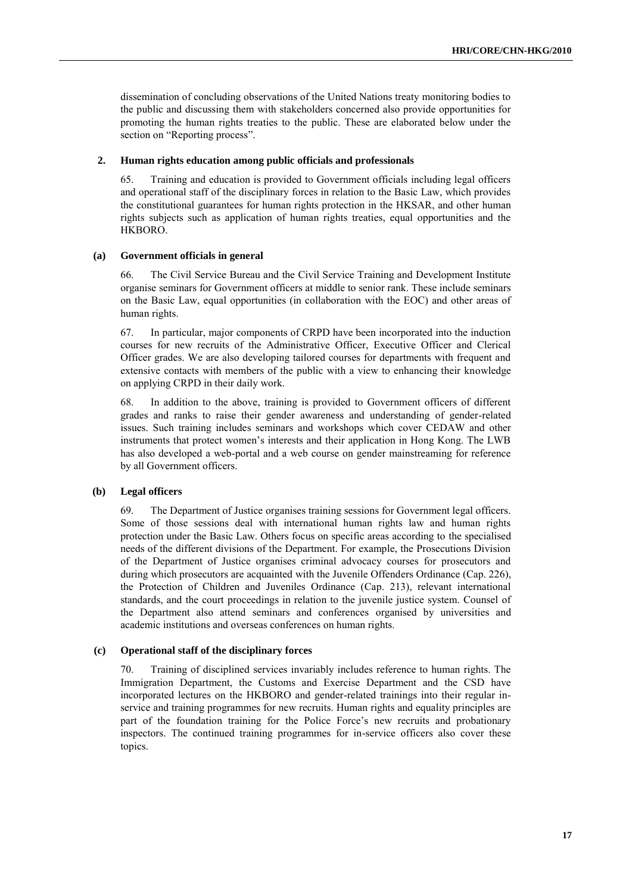dissemination of concluding observations of the United Nations treaty monitoring bodies to the public and discussing them with stakeholders concerned also provide opportunities for promoting the human rights treaties to the public. These are elaborated below under the section on "Reporting process".

#### **2. Human rights education among public officials and professionals**

65. Training and education is provided to Government officials including legal officers and operational staff of the disciplinary forces in relation to the Basic Law, which provides the constitutional guarantees for human rights protection in the HKSAR, and other human rights subjects such as application of human rights treaties, equal opportunities and the HKBORO.

#### **(a) Government officials in general**

66. The Civil Service Bureau and the Civil Service Training and Development Institute organise seminars for Government officers at middle to senior rank. These include seminars on the Basic Law, equal opportunities (in collaboration with the EOC) and other areas of human rights.

67. In particular, major components of CRPD have been incorporated into the induction courses for new recruits of the Administrative Officer, Executive Officer and Clerical Officer grades. We are also developing tailored courses for departments with frequent and extensive contacts with members of the public with a view to enhancing their knowledge on applying CRPD in their daily work.

68. In addition to the above, training is provided to Government officers of different grades and ranks to raise their gender awareness and understanding of gender-related issues. Such training includes seminars and workshops which cover CEDAW and other instruments that protect women's interests and their application in Hong Kong. The LWB has also developed a web-portal and a web course on gender mainstreaming for reference by all Government officers.

#### **(b) Legal officers**

69. The Department of Justice organises training sessions for Government legal officers. Some of those sessions deal with international human rights law and human rights protection under the Basic Law. Others focus on specific areas according to the specialised needs of the different divisions of the Department. For example, the Prosecutions Division of the Department of Justice organises criminal advocacy courses for prosecutors and during which prosecutors are acquainted with the Juvenile Offenders Ordinance (Cap. 226), the Protection of Children and Juveniles Ordinance (Cap. 213), relevant international standards, and the court proceedings in relation to the juvenile justice system. Counsel of the Department also attend seminars and conferences organised by universities and academic institutions and overseas conferences on human rights.

#### **(c) Operational staff of the disciplinary forces**

70. Training of disciplined services invariably includes reference to human rights. The Immigration Department, the Customs and Exercise Department and the CSD have incorporated lectures on the HKBORO and gender-related trainings into their regular inservice and training programmes for new recruits. Human rights and equality principles are part of the foundation training for the Police Force's new recruits and probationary inspectors. The continued training programmes for in-service officers also cover these topics.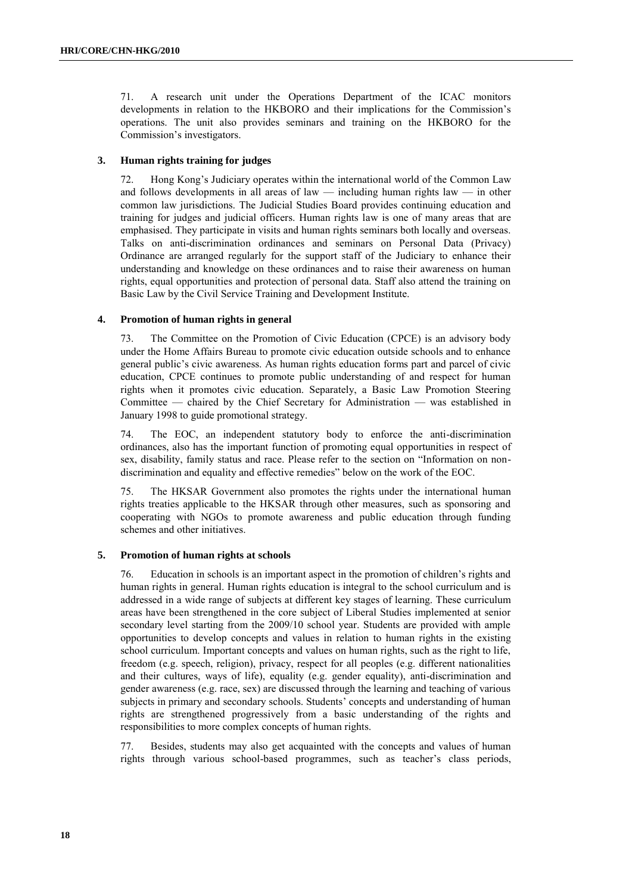71. A research unit under the Operations Department of the ICAC monitors developments in relation to the HKBORO and their implications for the Commission's operations. The unit also provides seminars and training on the HKBORO for the Commission's investigators.

#### **3. Human rights training for judges**

72. Hong Kong's Judiciary operates within the international world of the Common Law and follows developments in all areas of law — including human rights law — in other common law jurisdictions. The Judicial Studies Board provides continuing education and training for judges and judicial officers. Human rights law is one of many areas that are emphasised. They participate in visits and human rights seminars both locally and overseas. Talks on anti-discrimination ordinances and seminars on Personal Data (Privacy) Ordinance are arranged regularly for the support staff of the Judiciary to enhance their understanding and knowledge on these ordinances and to raise their awareness on human rights, equal opportunities and protection of personal data. Staff also attend the training on Basic Law by the Civil Service Training and Development Institute.

#### **4. Promotion of human rights in general**

73. The Committee on the Promotion of Civic Education (CPCE) is an advisory body under the Home Affairs Bureau to promote civic education outside schools and to enhance general public's civic awareness. As human rights education forms part and parcel of civic education, CPCE continues to promote public understanding of and respect for human rights when it promotes civic education. Separately, a Basic Law Promotion Steering Committee — chaired by the Chief Secretary for Administration — was established in January 1998 to guide promotional strategy.

74. The EOC, an independent statutory body to enforce the anti-discrimination ordinances, also has the important function of promoting equal opportunities in respect of sex, disability, family status and race. Please refer to the section on "Information on nondiscrimination and equality and effective remedies" below on the work of the EOC.

75. The HKSAR Government also promotes the rights under the international human rights treaties applicable to the HKSAR through other measures, such as sponsoring and cooperating with NGOs to promote awareness and public education through funding schemes and other initiatives.

#### **5. Promotion of human rights at schools**

76. Education in schools is an important aspect in the promotion of children's rights and human rights in general. Human rights education is integral to the school curriculum and is addressed in a wide range of subjects at different key stages of learning. These curriculum areas have been strengthened in the core subject of Liberal Studies implemented at senior secondary level starting from the 2009/10 school year. Students are provided with ample opportunities to develop concepts and values in relation to human rights in the existing school curriculum. Important concepts and values on human rights, such as the right to life, freedom (e.g. speech, religion), privacy, respect for all peoples (e.g. different nationalities and their cultures, ways of life), equality (e.g. gender equality), anti-discrimination and gender awareness (e.g. race, sex) are discussed through the learning and teaching of various subjects in primary and secondary schools. Students' concepts and understanding of human rights are strengthened progressively from a basic understanding of the rights and responsibilities to more complex concepts of human rights.

77. Besides, students may also get acquainted with the concepts and values of human rights through various school-based programmes, such as teacher's class periods,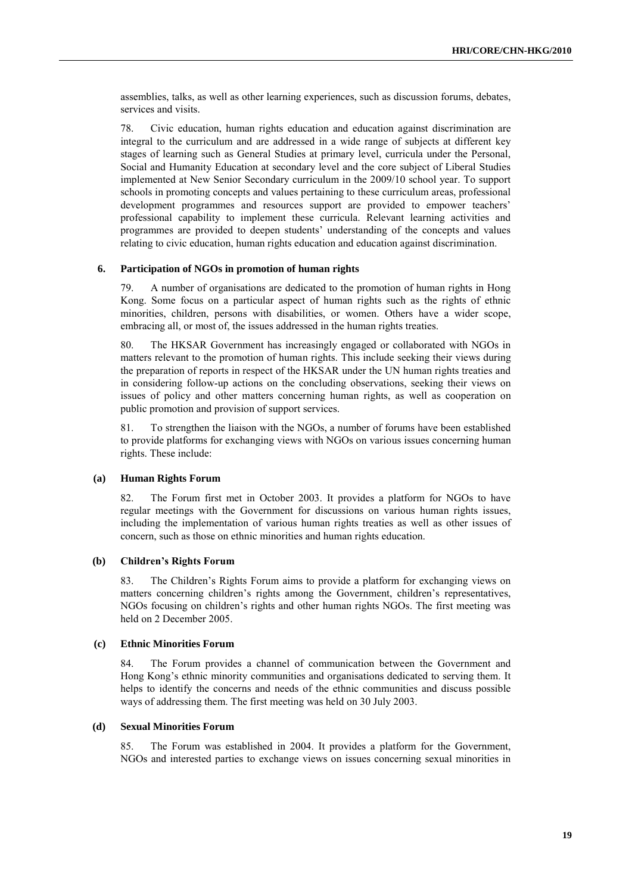assemblies, talks, as well as other learning experiences, such as discussion forums, debates, services and visits.

78. Civic education, human rights education and education against discrimination are integral to the curriculum and are addressed in a wide range of subjects at different key stages of learning such as General Studies at primary level, curricula under the Personal, Social and Humanity Education at secondary level and the core subject of Liberal Studies implemented at New Senior Secondary curriculum in the 2009/10 school year. To support schools in promoting concepts and values pertaining to these curriculum areas, professional development programmes and resources support are provided to empower teachers' professional capability to implement these curricula. Relevant learning activities and programmes are provided to deepen students' understanding of the concepts and values relating to civic education, human rights education and education against discrimination.

#### **6. Participation of NGOs in promotion of human rights**

79. A number of organisations are dedicated to the promotion of human rights in Hong Kong. Some focus on a particular aspect of human rights such as the rights of ethnic minorities, children, persons with disabilities, or women. Others have a wider scope, embracing all, or most of, the issues addressed in the human rights treaties.

80. The HKSAR Government has increasingly engaged or collaborated with NGOs in matters relevant to the promotion of human rights. This include seeking their views during the preparation of reports in respect of the HKSAR under the UN human rights treaties and in considering follow-up actions on the concluding observations, seeking their views on issues of policy and other matters concerning human rights, as well as cooperation on public promotion and provision of support services.

81. To strengthen the liaison with the NGOs, a number of forums have been established to provide platforms for exchanging views with NGOs on various issues concerning human rights. These include:

#### **(a) Human Rights Forum**

82. The Forum first met in October 2003. It provides a platform for NGOs to have regular meetings with the Government for discussions on various human rights issues, including the implementation of various human rights treaties as well as other issues of concern, such as those on ethnic minorities and human rights education.

#### **(b) Children's Rights Forum**

83. The Children's Rights Forum aims to provide a platform for exchanging views on matters concerning children's rights among the Government, children's representatives, NGOs focusing on children's rights and other human rights NGOs. The first meeting was held on 2 December 2005.

#### **(c) Ethnic Minorities Forum**

84. The Forum provides a channel of communication between the Government and Hong Kong's ethnic minority communities and organisations dedicated to serving them. It helps to identify the concerns and needs of the ethnic communities and discuss possible ways of addressing them. The first meeting was held on 30 July 2003.

#### **(d) Sexual Minorities Forum**

85. The Forum was established in 2004. It provides a platform for the Government, NGOs and interested parties to exchange views on issues concerning sexual minorities in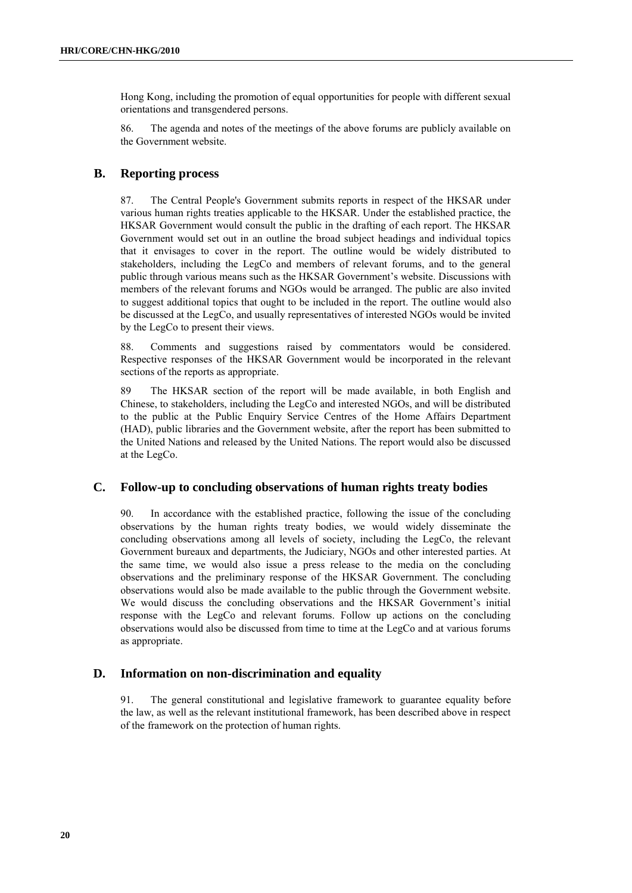Hong Kong, including the promotion of equal opportunities for people with different sexual orientations and transgendered persons.

86. The agenda and notes of the meetings of the above forums are publicly available on the Government website.

### **B. Reporting process**

87. The Central People's Government submits reports in respect of the HKSAR under various human rights treaties applicable to the HKSAR. Under the established practice, the HKSAR Government would consult the public in the drafting of each report. The HKSAR Government would set out in an outline the broad subject headings and individual topics that it envisages to cover in the report. The outline would be widely distributed to stakeholders, including the LegCo and members of relevant forums, and to the general public through various means such as the HKSAR Government's website. Discussions with members of the relevant forums and NGOs would be arranged. The public are also invited to suggest additional topics that ought to be included in the report. The outline would also be discussed at the LegCo, and usually representatives of interested NGOs would be invited by the LegCo to present their views.

88. Comments and suggestions raised by commentators would be considered. Respective responses of the HKSAR Government would be incorporated in the relevant sections of the reports as appropriate.

89 The HKSAR section of the report will be made available, in both English and Chinese, to stakeholders, including the LegCo and interested NGOs, and will be distributed to the public at the Public Enquiry Service Centres of the Home Affairs Department (HAD), public libraries and the Government website, after the report has been submitted to the United Nations and released by the United Nations. The report would also be discussed at the LegCo.

#### **C. Follow-up to concluding observations of human rights treaty bodies**

90. In accordance with the established practice, following the issue of the concluding observations by the human rights treaty bodies, we would widely disseminate the concluding observations among all levels of society, including the LegCo, the relevant Government bureaux and departments, the Judiciary, NGOs and other interested parties. At the same time, we would also issue a press release to the media on the concluding observations and the preliminary response of the HKSAR Government. The concluding observations would also be made available to the public through the Government website. We would discuss the concluding observations and the HKSAR Government's initial response with the LegCo and relevant forums. Follow up actions on the concluding observations would also be discussed from time to time at the LegCo and at various forums as appropriate.

### **D. Information on non-discrimination and equality**

91. The general constitutional and legislative framework to guarantee equality before the law, as well as the relevant institutional framework, has been described above in respect of the framework on the protection of human rights.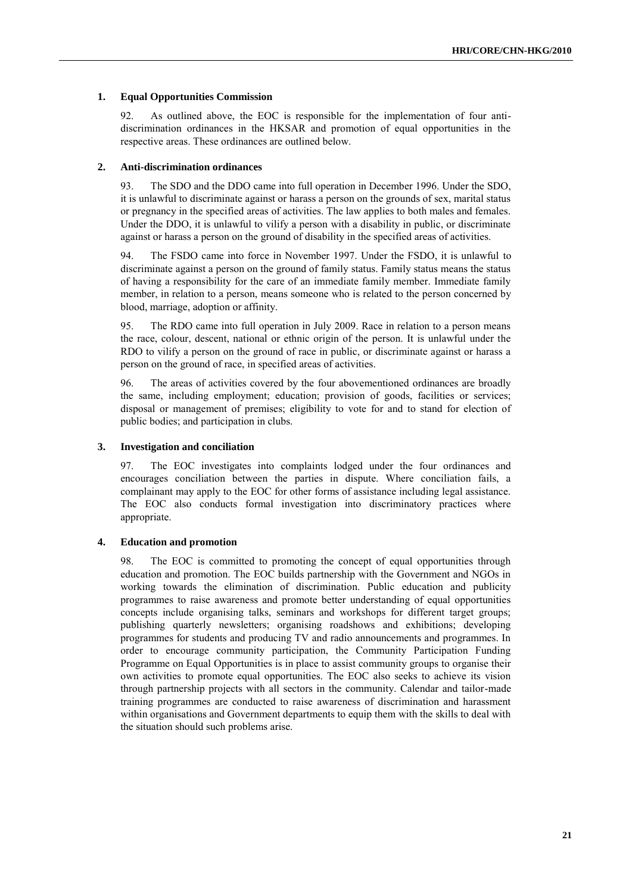#### **1. Equal Opportunities Commission**

92. As outlined above, the EOC is responsible for the implementation of four antidiscrimination ordinances in the HKSAR and promotion of equal opportunities in the respective areas. These ordinances are outlined below.

#### **2. Anti-discrimination ordinances**

93. The SDO and the DDO came into full operation in December 1996. Under the SDO, it is unlawful to discriminate against or harass a person on the grounds of sex, marital status or pregnancy in the specified areas of activities. The law applies to both males and females. Under the DDO, it is unlawful to vilify a person with a disability in public, or discriminate against or harass a person on the ground of disability in the specified areas of activities.

94. The FSDO came into force in November 1997. Under the FSDO, it is unlawful to discriminate against a person on the ground of family status. Family status means the status of having a responsibility for the care of an immediate family member. Immediate family member, in relation to a person, means someone who is related to the person concerned by blood, marriage, adoption or affinity.

95. The RDO came into full operation in July 2009. Race in relation to a person means the race, colour, descent, national or ethnic origin of the person. It is unlawful under the RDO to vilify a person on the ground of race in public, or discriminate against or harass a person on the ground of race, in specified areas of activities.

96. The areas of activities covered by the four abovementioned ordinances are broadly the same, including employment; education; provision of goods, facilities or services; disposal or management of premises; eligibility to vote for and to stand for election of public bodies; and participation in clubs.

#### **3. Investigation and conciliation**

97. The EOC investigates into complaints lodged under the four ordinances and encourages conciliation between the parties in dispute. Where conciliation fails, a complainant may apply to the EOC for other forms of assistance including legal assistance. The EOC also conducts formal investigation into discriminatory practices where appropriate.

#### **4. Education and promotion**

98. The EOC is committed to promoting the concept of equal opportunities through education and promotion. The EOC builds partnership with the Government and NGOs in working towards the elimination of discrimination. Public education and publicity programmes to raise awareness and promote better understanding of equal opportunities concepts include organising talks, seminars and workshops for different target groups; publishing quarterly newsletters; organising roadshows and exhibitions; developing programmes for students and producing TV and radio announcements and programmes. In order to encourage community participation, the Community Participation Funding Programme on Equal Opportunities is in place to assist community groups to organise their own activities to promote equal opportunities. The EOC also seeks to achieve its vision through partnership projects with all sectors in the community. Calendar and tailor-made training programmes are conducted to raise awareness of discrimination and harassment within organisations and Government departments to equip them with the skills to deal with the situation should such problems arise.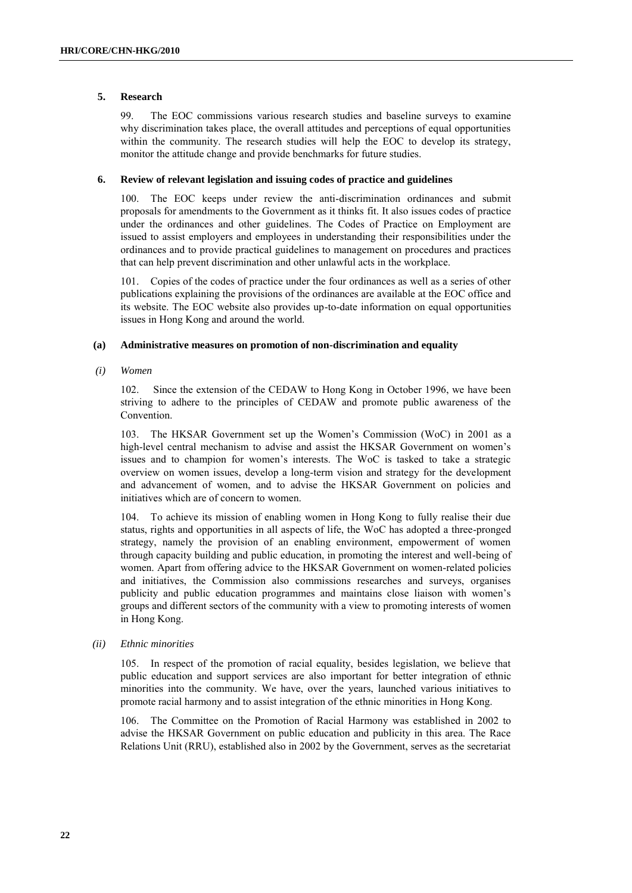#### **5. Research**

99. The EOC commissions various research studies and baseline surveys to examine why discrimination takes place, the overall attitudes and perceptions of equal opportunities within the community. The research studies will help the EOC to develop its strategy, monitor the attitude change and provide benchmarks for future studies.

#### **6. Review of relevant legislation and issuing codes of practice and guidelines**

100. The EOC keeps under review the anti-discrimination ordinances and submit proposals for amendments to the Government as it thinks fit. It also issues codes of practice under the ordinances and other guidelines. The Codes of Practice on Employment are issued to assist employers and employees in understanding their responsibilities under the ordinances and to provide practical guidelines to management on procedures and practices that can help prevent discrimination and other unlawful acts in the workplace.

101. Copies of the codes of practice under the four ordinances as well as a series of other publications explaining the provisions of the ordinances are available at the EOC office and its website. The EOC website also provides up-to-date information on equal opportunities issues in Hong Kong and around the world.

#### **(a) Administrative measures on promotion of non-discrimination and equality**

*(i) Women*

102. Since the extension of the CEDAW to Hong Kong in October 1996, we have been striving to adhere to the principles of CEDAW and promote public awareness of the Convention.

103. The HKSAR Government set up the Women's Commission (WoC) in 2001 as a high-level central mechanism to advise and assist the HKSAR Government on women's issues and to champion for women's interests. The WoC is tasked to take a strategic overview on women issues, develop a long-term vision and strategy for the development and advancement of women, and to advise the HKSAR Government on policies and initiatives which are of concern to women.

104. To achieve its mission of enabling women in Hong Kong to fully realise their due status, rights and opportunities in all aspects of life, the WoC has adopted a three-pronged strategy, namely the provision of an enabling environment, empowerment of women through capacity building and public education, in promoting the interest and well-being of women. Apart from offering advice to the HKSAR Government on women-related policies and initiatives, the Commission also commissions researches and surveys, organises publicity and public education programmes and maintains close liaison with women's groups and different sectors of the community with a view to promoting interests of women in Hong Kong.

*(ii) Ethnic minorities*

105. In respect of the promotion of racial equality, besides legislation, we believe that public education and support services are also important for better integration of ethnic minorities into the community. We have, over the years, launched various initiatives to promote racial harmony and to assist integration of the ethnic minorities in Hong Kong.

106. The Committee on the Promotion of Racial Harmony was established in 2002 to advise the HKSAR Government on public education and publicity in this area. The Race Relations Unit (RRU), established also in 2002 by the Government, serves as the secretariat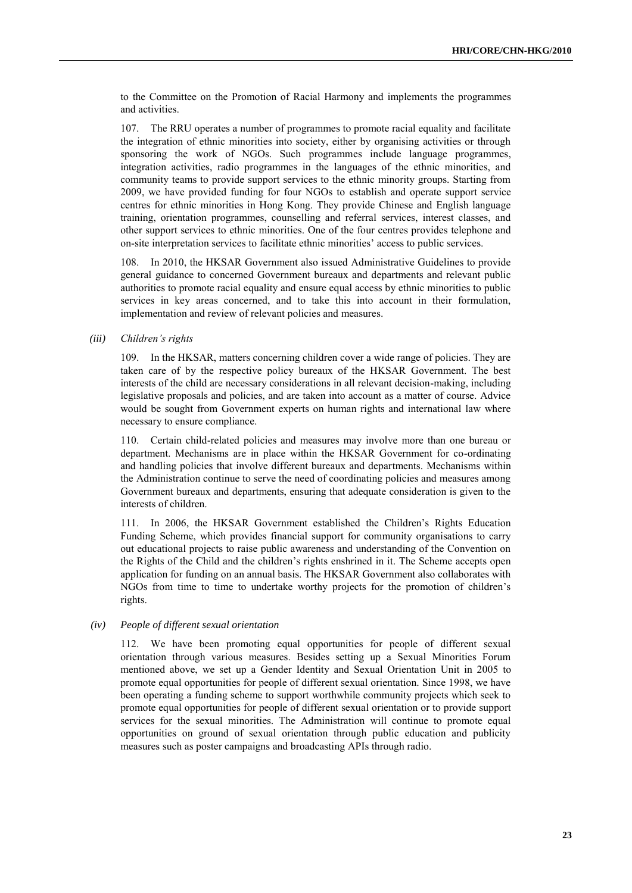to the Committee on the Promotion of Racial Harmony and implements the programmes and activities.

107. The RRU operates a number of programmes to promote racial equality and facilitate the integration of ethnic minorities into society, either by organising activities or through sponsoring the work of NGOs. Such programmes include language programmes, integration activities, radio programmes in the languages of the ethnic minorities, and community teams to provide support services to the ethnic minority groups. Starting from 2009, we have provided funding for four NGOs to establish and operate support service centres for ethnic minorities in Hong Kong. They provide Chinese and English language training, orientation programmes, counselling and referral services, interest classes, and other support services to ethnic minorities. One of the four centres provides telephone and on-site interpretation services to facilitate ethnic minorities' access to public services.

108. In 2010, the HKSAR Government also issued Administrative Guidelines to provide general guidance to concerned Government bureaux and departments and relevant public authorities to promote racial equality and ensure equal access by ethnic minorities to public services in key areas concerned, and to take this into account in their formulation, implementation and review of relevant policies and measures.

#### *(iii) Children's rights*

109. In the HKSAR, matters concerning children cover a wide range of policies. They are taken care of by the respective policy bureaux of the HKSAR Government. The best interests of the child are necessary considerations in all relevant decision-making, including legislative proposals and policies, and are taken into account as a matter of course. Advice would be sought from Government experts on human rights and international law where necessary to ensure compliance.

110. Certain child-related policies and measures may involve more than one bureau or department. Mechanisms are in place within the HKSAR Government for co-ordinating and handling policies that involve different bureaux and departments. Mechanisms within the Administration continue to serve the need of coordinating policies and measures among Government bureaux and departments, ensuring that adequate consideration is given to the interests of children.

111. In 2006, the HKSAR Government established the Children's Rights Education Funding Scheme, which provides financial support for community organisations to carry out educational projects to raise public awareness and understanding of the Convention on the Rights of the Child and the children's rights enshrined in it. The Scheme accepts open application for funding on an annual basis. The HKSAR Government also collaborates with NGOs from time to time to undertake worthy projects for the promotion of children's rights.

### *(iv) People of different sexual orientation*

112. We have been promoting equal opportunities for people of different sexual orientation through various measures. Besides setting up a Sexual Minorities Forum mentioned above, we set up a Gender Identity and Sexual Orientation Unit in 2005 to promote equal opportunities for people of different sexual orientation. Since 1998, we have been operating a funding scheme to support worthwhile community projects which seek to promote equal opportunities for people of different sexual orientation or to provide support services for the sexual minorities. The Administration will continue to promote equal opportunities on ground of sexual orientation through public education and publicity measures such as poster campaigns and broadcasting APIs through radio.